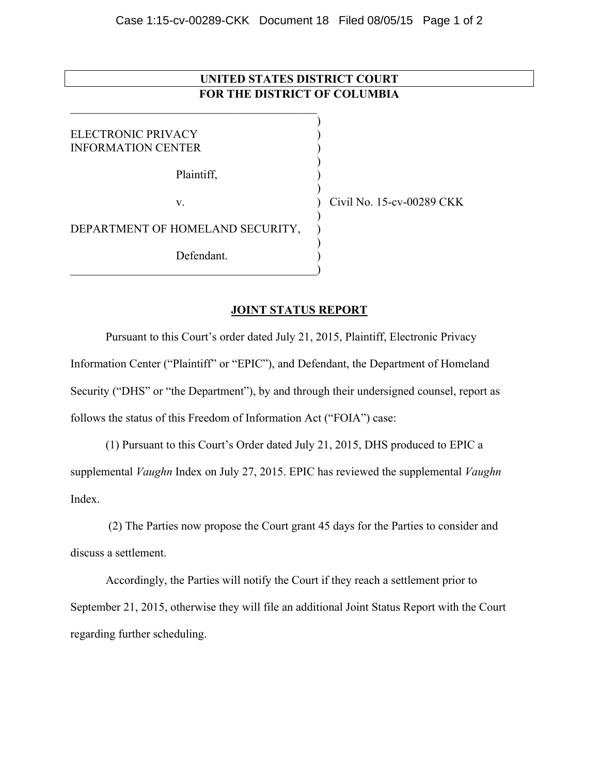## **UNITED STATES DISTRICT COURT FOR THE DISTRICT OF COLUMBIA**

)

)

)

)

)

ELECTRONIC PRIVACY (1999) INFORMATION CENTER )

Plaintiff, )

 $\qquad \qquad \qquad \qquad \qquad \qquad \qquad$ 

 $\mathcal{L}_\text{max}$ 

DEPARTMENT OF HOMELAND SECURITY, Defendant.

v. ) Civil No. 15-cv-00289 CKK

## **JOINT STATUS REPORT**

Pursuant to this Court's order dated July 21, 2015, Plaintiff, Electronic Privacy Information Center ("Plaintiff" or "EPIC"), and Defendant, the Department of Homeland Security ("DHS" or "the Department"), by and through their undersigned counsel, report as follows the status of this Freedom of Information Act ("FOIA") case:

(1) Pursuant to this Court's Order dated July 21, 2015, DHS produced to EPIC a supplemental *Vaughn* Index on July 27, 2015. EPIC has reviewed the supplemental *Vaughn*  Index.

 (2) The Parties now propose the Court grant 45 days for the Parties to consider and discuss a settlement.

Accordingly, the Parties will notify the Court if they reach a settlement prior to September 21, 2015, otherwise they will file an additional Joint Status Report with the Court regarding further scheduling.